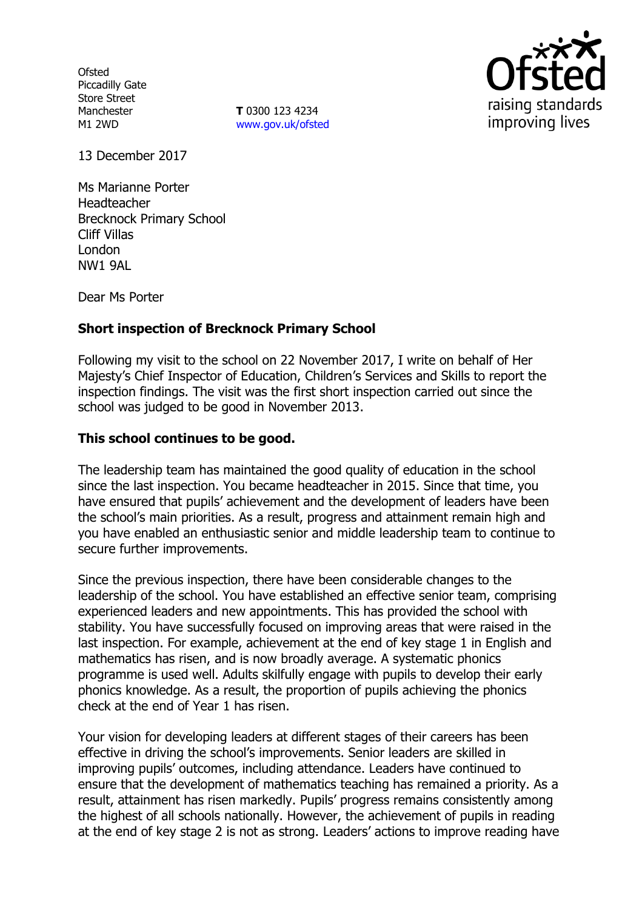**Ofsted** Piccadilly Gate Store Street Manchester M1 2WD

**T** 0300 123 4234 www.gov.uk/ofsted



13 December 2017

Ms Marianne Porter Headteacher Brecknock Primary School Cliff Villas London NW1 9AL

Dear Ms Porter

# **Short inspection of Brecknock Primary School**

Following my visit to the school on 22 November 2017, I write on behalf of Her Majesty's Chief Inspector of Education, Children's Services and Skills to report the inspection findings. The visit was the first short inspection carried out since the school was judged to be good in November 2013.

# **This school continues to be good.**

The leadership team has maintained the good quality of education in the school since the last inspection. You became headteacher in 2015. Since that time, you have ensured that pupils' achievement and the development of leaders have been the school's main priorities. As a result, progress and attainment remain high and you have enabled an enthusiastic senior and middle leadership team to continue to secure further improvements.

Since the previous inspection, there have been considerable changes to the leadership of the school. You have established an effective senior team, comprising experienced leaders and new appointments. This has provided the school with stability. You have successfully focused on improving areas that were raised in the last inspection. For example, achievement at the end of key stage 1 in English and mathematics has risen, and is now broadly average. A systematic phonics programme is used well. Adults skilfully engage with pupils to develop their early phonics knowledge. As a result, the proportion of pupils achieving the phonics check at the end of Year 1 has risen.

Your vision for developing leaders at different stages of their careers has been effective in driving the school's improvements. Senior leaders are skilled in improving pupils' outcomes, including attendance. Leaders have continued to ensure that the development of mathematics teaching has remained a priority. As a result, attainment has risen markedly. Pupils' progress remains consistently among the highest of all schools nationally. However, the achievement of pupils in reading at the end of key stage 2 is not as strong. Leaders' actions to improve reading have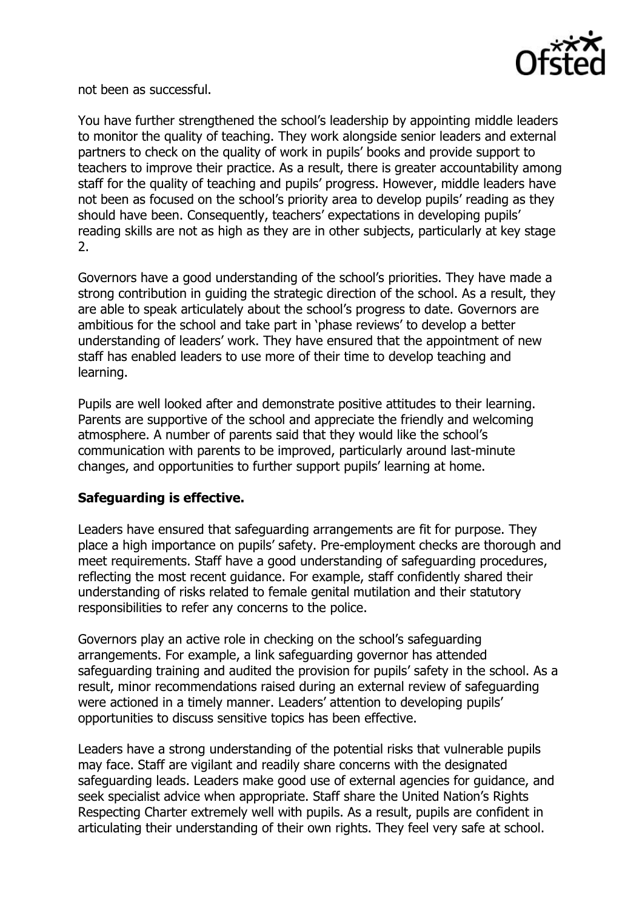

not been as successful.

You have further strengthened the school's leadership by appointing middle leaders to monitor the quality of teaching. They work alongside senior leaders and external partners to check on the quality of work in pupils' books and provide support to teachers to improve their practice. As a result, there is greater accountability among staff for the quality of teaching and pupils' progress. However, middle leaders have not been as focused on the school's priority area to develop pupils' reading as they should have been. Consequently, teachers' expectations in developing pupils' reading skills are not as high as they are in other subjects, particularly at key stage 2.

Governors have a good understanding of the school's priorities. They have made a strong contribution in guiding the strategic direction of the school. As a result, they are able to speak articulately about the school's progress to date. Governors are ambitious for the school and take part in 'phase reviews' to develop a better understanding of leaders' work. They have ensured that the appointment of new staff has enabled leaders to use more of their time to develop teaching and learning.

Pupils are well looked after and demonstrate positive attitudes to their learning. Parents are supportive of the school and appreciate the friendly and welcoming atmosphere. A number of parents said that they would like the school's communication with parents to be improved, particularly around last-minute changes, and opportunities to further support pupils' learning at home.

## **Safeguarding is effective.**

Leaders have ensured that safeguarding arrangements are fit for purpose. They place a high importance on pupils' safety. Pre-employment checks are thorough and meet requirements. Staff have a good understanding of safeguarding procedures, reflecting the most recent guidance. For example, staff confidently shared their understanding of risks related to female genital mutilation and their statutory responsibilities to refer any concerns to the police.

Governors play an active role in checking on the school's safeguarding arrangements. For example, a link safeguarding governor has attended safeguarding training and audited the provision for pupils' safety in the school. As a result, minor recommendations raised during an external review of safeguarding were actioned in a timely manner. Leaders' attention to developing pupils' opportunities to discuss sensitive topics has been effective.

Leaders have a strong understanding of the potential risks that vulnerable pupils may face. Staff are vigilant and readily share concerns with the designated safeguarding leads. Leaders make good use of external agencies for guidance, and seek specialist advice when appropriate. Staff share the United Nation's Rights Respecting Charter extremely well with pupils. As a result, pupils are confident in articulating their understanding of their own rights. They feel very safe at school.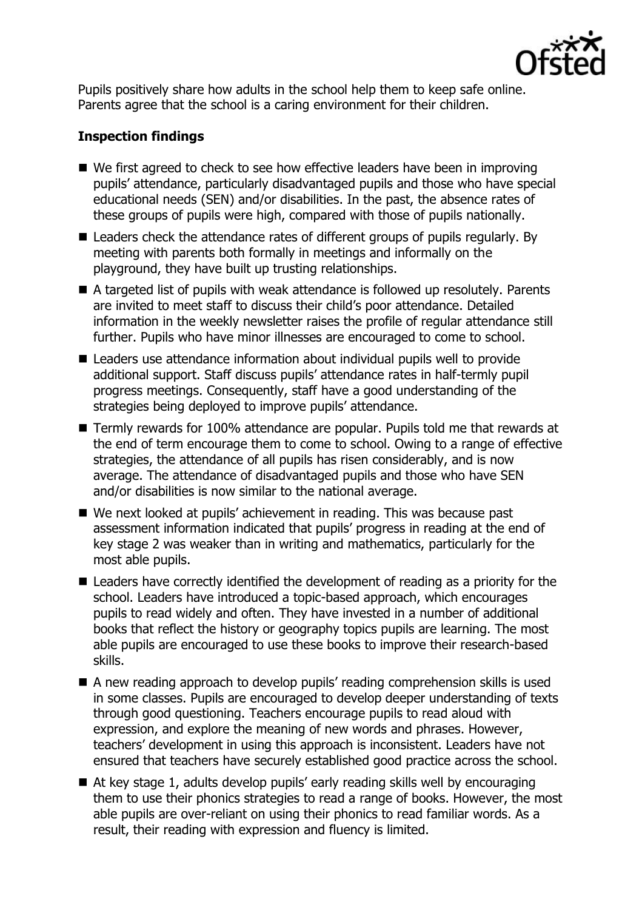

Pupils positively share how adults in the school help them to keep safe online. Parents agree that the school is a caring environment for their children.

# **Inspection findings**

- We first agreed to check to see how effective leaders have been in improving pupils' attendance, particularly disadvantaged pupils and those who have special educational needs (SEN) and/or disabilities. In the past, the absence rates of these groups of pupils were high, compared with those of pupils nationally.
- Leaders check the attendance rates of different groups of pupils regularly. By meeting with parents both formally in meetings and informally on the playground, they have built up trusting relationships.
- A targeted list of pupils with weak attendance is followed up resolutely. Parents are invited to meet staff to discuss their child's poor attendance. Detailed information in the weekly newsletter raises the profile of regular attendance still further. Pupils who have minor illnesses are encouraged to come to school.
- Leaders use attendance information about individual pupils well to provide additional support. Staff discuss pupils' attendance rates in half-termly pupil progress meetings. Consequently, staff have a good understanding of the strategies being deployed to improve pupils' attendance.
- Termly rewards for 100% attendance are popular. Pupils told me that rewards at the end of term encourage them to come to school. Owing to a range of effective strategies, the attendance of all pupils has risen considerably, and is now average. The attendance of disadvantaged pupils and those who have SEN and/or disabilities is now similar to the national average.
- We next looked at pupils' achievement in reading. This was because past assessment information indicated that pupils' progress in reading at the end of key stage 2 was weaker than in writing and mathematics, particularly for the most able pupils.
- Leaders have correctly identified the development of reading as a priority for the school. Leaders have introduced a topic-based approach, which encourages pupils to read widely and often. They have invested in a number of additional books that reflect the history or geography topics pupils are learning. The most able pupils are encouraged to use these books to improve their research-based skills.
- A new reading approach to develop pupils' reading comprehension skills is used in some classes. Pupils are encouraged to develop deeper understanding of texts through good questioning. Teachers encourage pupils to read aloud with expression, and explore the meaning of new words and phrases. However, teachers' development in using this approach is inconsistent. Leaders have not ensured that teachers have securely established good practice across the school.
- At key stage 1, adults develop pupils' early reading skills well by encouraging them to use their phonics strategies to read a range of books. However, the most able pupils are over-reliant on using their phonics to read familiar words. As a result, their reading with expression and fluency is limited.